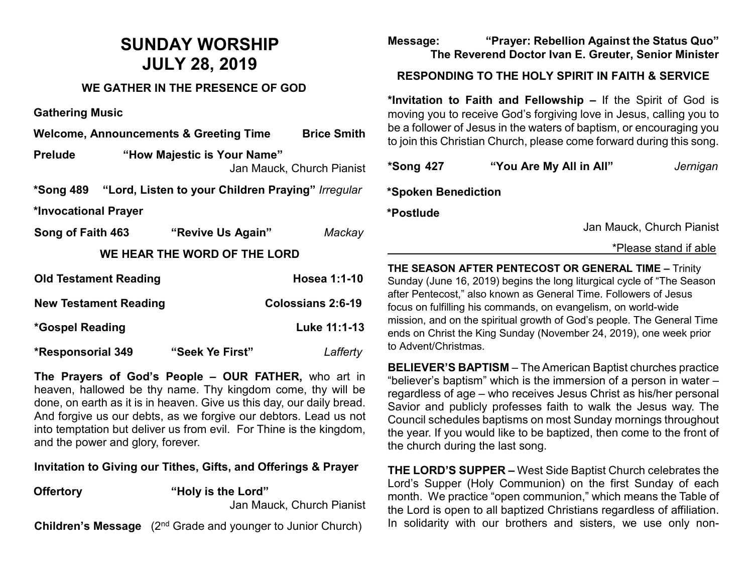# **SUNDAY WORSHIP JULY 28, 2019**

### **WE GATHER IN THE PRESENCE OF GOD**

**Gathering Music**

**Welcome, Announcements & Greeting Time Brice Smith**

**Prelude "How Majestic is Your Name"**  Jan Mauck, Church Pianist

**\*Song 489 "Lord, Listen to your Children Praying"** *Irregular*

**\*Invocational Prayer** 

| Song of Faith 463            | "Revive Us Again" | Mackay       |  |  |
|------------------------------|-------------------|--------------|--|--|
| WE HEAR THE WORD OF THE LORD |                   |              |  |  |
| <b>Old Testament Reading</b> |                   | Hosea 1:1-10 |  |  |

| <b>New Testament Reading</b> | Colossians 2:6-19 |
|------------------------------|-------------------|
| *Gospel Reading              | Luke 11:1-13      |

**\*Responsorial 349 "Seek Ye First"** *Lafferty*

**The Prayers of God's People – OUR FATHER,** who art in heaven, hallowed be thy name. Thy kingdom come, thy will be done, on earth as it is in heaven. Give us this day, our daily bread. And forgive us our debts, as we forgive our debtors. Lead us not into temptation but deliver us from evil. For Thine is the kingdom, and the power and glory, forever.

#### **Invitation to Giving our Tithes, Gifts, and Offerings & Prayer**

**Offertory "Holy is the Lord"** Jan Mauck, Church Pianist

**Children's Message** (2<sup>nd</sup> Grade and younger to Junior Church)

### **Message: "Prayer: Rebellion Against the Status Quo" The Reverend Doctor Ivan E. Greuter, Senior Minister**

## **RESPONDING TO THE HOLY SPIRIT IN FAITH & SERVICE**

**\*Invitation to Faith and Fellowship –** If the Spirit of God is moving you to receive God's forgiving love in Jesus, calling you to be a follower of Jesus in the waters of baptism, or encouraging you to join this Christian Church, please come forward during this song.

| <b>*Song 427</b> | "You Are My All in All" | Jernigan |
|------------------|-------------------------|----------|
|                  |                         |          |

**\*Spoken Benediction** 

**\*Postlude** 

Jan Mauck, Church Pianist

#### \*Please stand if able

**THE SEASON AFTER PENTECOST OR GENERAL TIME –** Trinity Sunday (June 16, 2019) begins the long liturgical cycle of "The Season after Pentecost," also known as General Time. Followers of Jesus focus on fulfilling his commands, on evangelism, on world-wide mission, and on the spiritual growth of God's people. The General Time ends on Christ the King Sunday (November 24, 2019), one week prior to Advent/Christmas.

**BELIEVER'S BAPTISM** – The American Baptist churches practice "believer's baptism" which is the immersion of a person in water – regardless of age – who receives Jesus Christ as his/her personal Savior and publicly professes faith to walk the Jesus way. The Council schedules baptisms on most Sunday mornings throughout the year. If you would like to be baptized, then come to the front of the church during the last song.

**THE LORD'S SUPPER –** West Side Baptist Church celebrates the Lord's Supper (Holy Communion) on the first Sunday of each month. We practice "open communion," which means the Table of the Lord is open to all baptized Christians regardless of affiliation. In solidarity with our brothers and sisters, we use only non